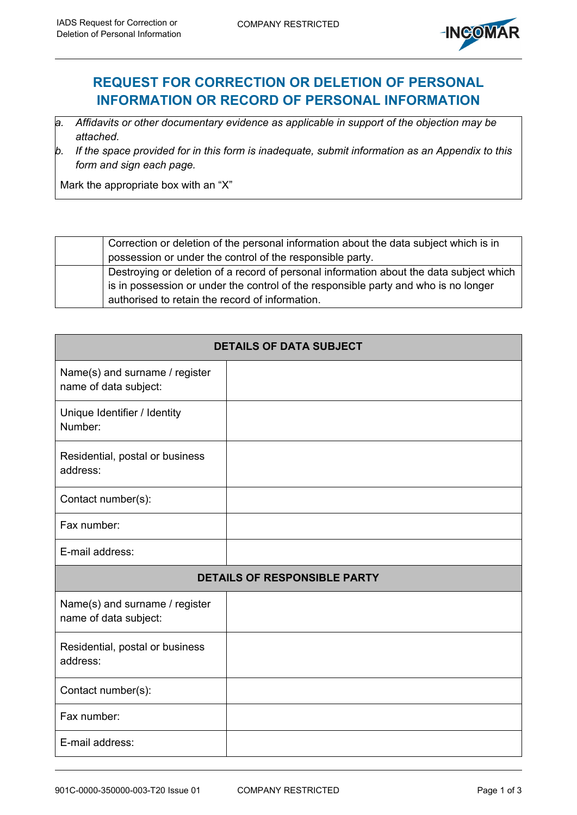

## **REQUEST FOR CORRECTION OR DELETION OF PERSONAL INFORMATION OR RECORD OF PERSONAL INFORMATION**

- *a. Affidavits or other documentary evidence as applicable in support of the objection may be attached.*
- *b. If the space provided for in this form is inadequate, submit information as an Appendix to this form and sign each page.*

Mark the appropriate box with an "X"

| Correction or deletion of the personal information about the data subject which is in   |
|-----------------------------------------------------------------------------------------|
| possession or under the control of the responsible party.                               |
| Destroying or deletion of a record of personal information about the data subject which |
| is in possession or under the control of the responsible party and who is no longer     |
| authorised to retain the record of information.                                         |

| <b>DETAILS OF DATA SUBJECT</b>                          |  |  |  |  |  |
|---------------------------------------------------------|--|--|--|--|--|
| Name(s) and surname / register<br>name of data subject: |  |  |  |  |  |
| Unique Identifier / Identity<br>Number:                 |  |  |  |  |  |
| Residential, postal or business<br>address:             |  |  |  |  |  |
| Contact number(s):                                      |  |  |  |  |  |
| Fax number:                                             |  |  |  |  |  |
| E-mail address:                                         |  |  |  |  |  |
| <b>DETAILS OF RESPONSIBLE PARTY</b>                     |  |  |  |  |  |
| Name(s) and surname / register<br>name of data subject: |  |  |  |  |  |
| Residential, postal or business<br>address:             |  |  |  |  |  |
| Contact number(s):                                      |  |  |  |  |  |
| Fax number:                                             |  |  |  |  |  |
| E-mail address:                                         |  |  |  |  |  |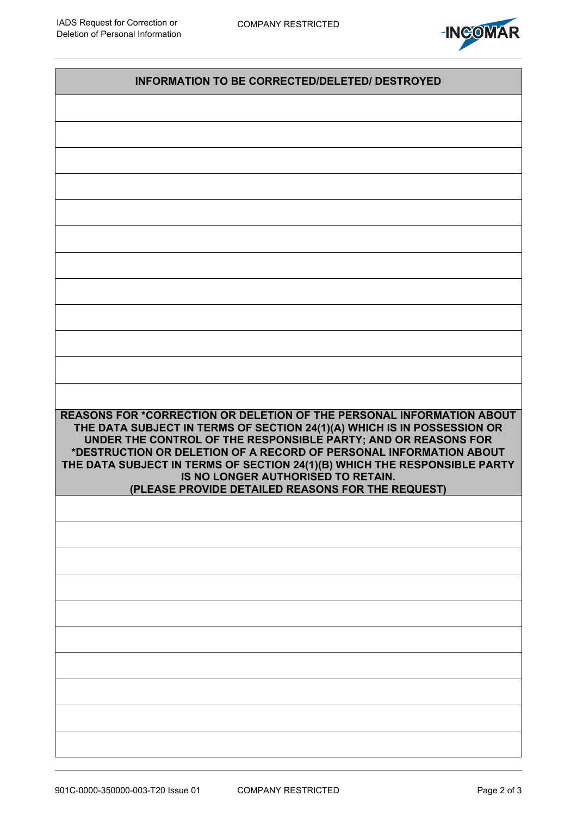

| <b>INFORMATION TO BE CORRECTED/DELETED/ DESTROYED</b>                                                                                                                                                                                                                                                                                                                                                                                                            |  |  |  |  |
|------------------------------------------------------------------------------------------------------------------------------------------------------------------------------------------------------------------------------------------------------------------------------------------------------------------------------------------------------------------------------------------------------------------------------------------------------------------|--|--|--|--|
|                                                                                                                                                                                                                                                                                                                                                                                                                                                                  |  |  |  |  |
|                                                                                                                                                                                                                                                                                                                                                                                                                                                                  |  |  |  |  |
|                                                                                                                                                                                                                                                                                                                                                                                                                                                                  |  |  |  |  |
|                                                                                                                                                                                                                                                                                                                                                                                                                                                                  |  |  |  |  |
|                                                                                                                                                                                                                                                                                                                                                                                                                                                                  |  |  |  |  |
|                                                                                                                                                                                                                                                                                                                                                                                                                                                                  |  |  |  |  |
|                                                                                                                                                                                                                                                                                                                                                                                                                                                                  |  |  |  |  |
|                                                                                                                                                                                                                                                                                                                                                                                                                                                                  |  |  |  |  |
|                                                                                                                                                                                                                                                                                                                                                                                                                                                                  |  |  |  |  |
|                                                                                                                                                                                                                                                                                                                                                                                                                                                                  |  |  |  |  |
|                                                                                                                                                                                                                                                                                                                                                                                                                                                                  |  |  |  |  |
|                                                                                                                                                                                                                                                                                                                                                                                                                                                                  |  |  |  |  |
| REASONS FOR *CORRECTION OR DELETION OF THE PERSONAL INFORMATION ABOUT<br>THE DATA SUBJECT IN TERMS OF SECTION 24(1)(A) WHICH IS IN POSSESSION OR<br>UNDER THE CONTROL OF THE RESPONSIBLE PARTY; AND OR REASONS FOR<br>*DESTRUCTION OR DELETION OF A RECORD OF PERSONAL INFORMATION ABOUT<br>THE DATA SUBJECT IN TERMS OF SECTION 24(1)(B) WHICH THE RESPONSIBLE PARTY<br>IS NO LONGER AUTHORISED TO RETAIN.<br>(PLEASE PROVIDE DETAILED REASONS FOR THE REQUEST) |  |  |  |  |
|                                                                                                                                                                                                                                                                                                                                                                                                                                                                  |  |  |  |  |
|                                                                                                                                                                                                                                                                                                                                                                                                                                                                  |  |  |  |  |
|                                                                                                                                                                                                                                                                                                                                                                                                                                                                  |  |  |  |  |
|                                                                                                                                                                                                                                                                                                                                                                                                                                                                  |  |  |  |  |
|                                                                                                                                                                                                                                                                                                                                                                                                                                                                  |  |  |  |  |
|                                                                                                                                                                                                                                                                                                                                                                                                                                                                  |  |  |  |  |
|                                                                                                                                                                                                                                                                                                                                                                                                                                                                  |  |  |  |  |
|                                                                                                                                                                                                                                                                                                                                                                                                                                                                  |  |  |  |  |
|                                                                                                                                                                                                                                                                                                                                                                                                                                                                  |  |  |  |  |
|                                                                                                                                                                                                                                                                                                                                                                                                                                                                  |  |  |  |  |